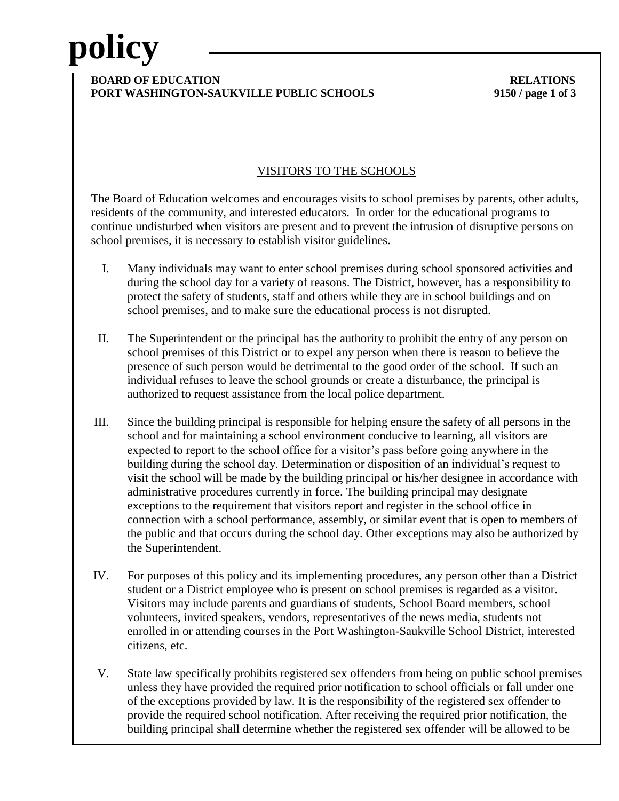# **policy**

### **BOARD OF EDUCATION RELATIONS PORT WASHINGTON-SAUKVILLE PUBLIC SCHOOLS 9150 / page 1 of 3**

### VISITORS TO THE SCHOOLS

The Board of Education welcomes and encourages visits to school premises by parents, other adults, residents of the community, and interested educators. In order for the educational programs to continue undisturbed when visitors are present and to prevent the intrusion of disruptive persons on school premises, it is necessary to establish visitor guidelines.

- I. Many individuals may want to enter school premises during school sponsored activities and during the school day for a variety of reasons. The District, however, has a responsibility to protect the safety of students, staff and others while they are in school buildings and on school premises, and to make sure the educational process is not disrupted.
- II. The Superintendent or the principal has the authority to prohibit the entry of any person on school premises of this District or to expel any person when there is reason to believe the presence of such person would be detrimental to the good order of the school. If such an individual refuses to leave the school grounds or create a disturbance, the principal is authorized to request assistance from the local police department.
- III. Since the building principal is responsible for helping ensure the safety of all persons in the school and for maintaining a school environment conducive to learning, all visitors are expected to report to the school office for a visitor's pass before going anywhere in the building during the school day. Determination or disposition of an individual's request to visit the school will be made by the building principal or his/her designee in accordance with administrative procedures currently in force. The building principal may designate exceptions to the requirement that visitors report and register in the school office in connection with a school performance, assembly, or similar event that is open to members of the public and that occurs during the school day. Other exceptions may also be authorized by the Superintendent.
- IV. For purposes of this policy and its implementing procedures, any person other than a District student or a District employee who is present on school premises is regarded as a visitor. Visitors may include parents and guardians of students, School Board members, school volunteers, invited speakers, vendors, representatives of the news media, students not enrolled in or attending courses in the Port Washington-Saukville School District, interested citizens, etc.
- V. State law specifically prohibits registered sex offenders from being on public school premises unless they have provided the required prior notification to school officials or fall under one of the exceptions provided by law. It is the responsibility of the registered sex offender to provide the required school notification. After receiving the required prior notification, the building principal shall determine whether the registered sex offender will be allowed to be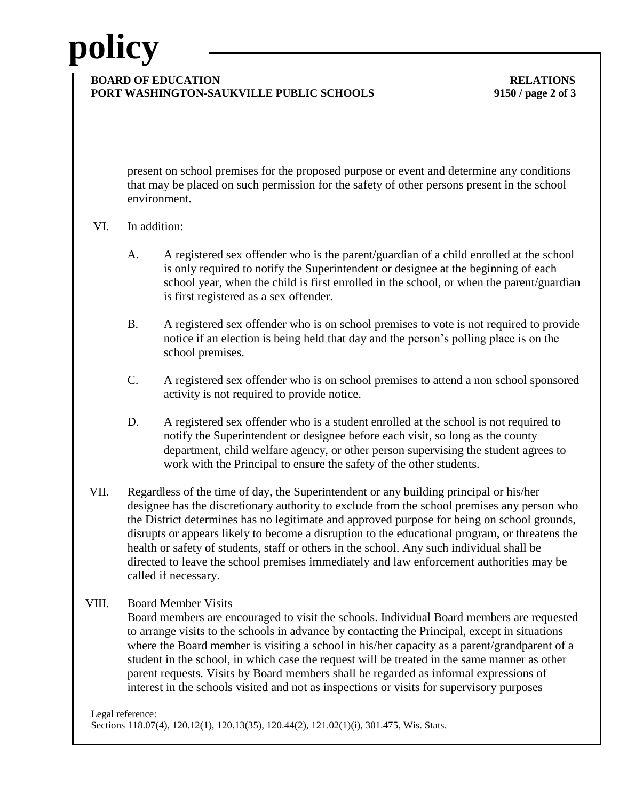## **policy**

#### **BOARD OF EDUCATION RELATIONS PORT WASHINGTON-SAUKVILLE PUBLIC SCHOOLS 9150 / page 2 of 3**

present on school premises for the proposed purpose or event and determine any conditions that may be placed on such permission for the safety of other persons present in the school environment.

- VI. In addition:
	- A. A registered sex offender who is the parent/guardian of a child enrolled at the school is only required to notify the Superintendent or designee at the beginning of each school year, when the child is first enrolled in the school, or when the parent/guardian is first registered as a sex offender.
	- B. A registered sex offender who is on school premises to vote is not required to provide notice if an election is being held that day and the person's polling place is on the school premises.
	- C. A registered sex offender who is on school premises to attend a non school sponsored activity is not required to provide notice.
	- D. A registered sex offender who is a student enrolled at the school is not required to notify the Superintendent or designee before each visit, so long as the county department, child welfare agency, or other person supervising the student agrees to work with the Principal to ensure the safety of the other students.
- VII. Regardless of the time of day, the Superintendent or any building principal or his/her designee has the discretionary authority to exclude from the school premises any person who the District determines has no legitimate and approved purpose for being on school grounds, disrupts or appears likely to become a disruption to the educational program, or threatens the health or safety of students, staff or others in the school. Any such individual shall be directed to leave the school premises immediately and law enforcement authorities may be called if necessary.
- VIII. Board Member Visits

Board members are encouraged to visit the schools. Individual Board members are requested to arrange visits to the schools in advance by contacting the Principal, except in situations where the Board member is visiting a school in his/her capacity as a parent/grandparent of a student in the school, in which case the request will be treated in the same manner as other parent requests. Visits by Board members shall be regarded as informal expressions of interest in the schools visited and not as inspections or visits for supervisory purposes

Legal reference: Sections 118.07(4), 120.12(1), 120.13(35), 120.44(2), 121.02(1)(i), 301.475, Wis. Stats.